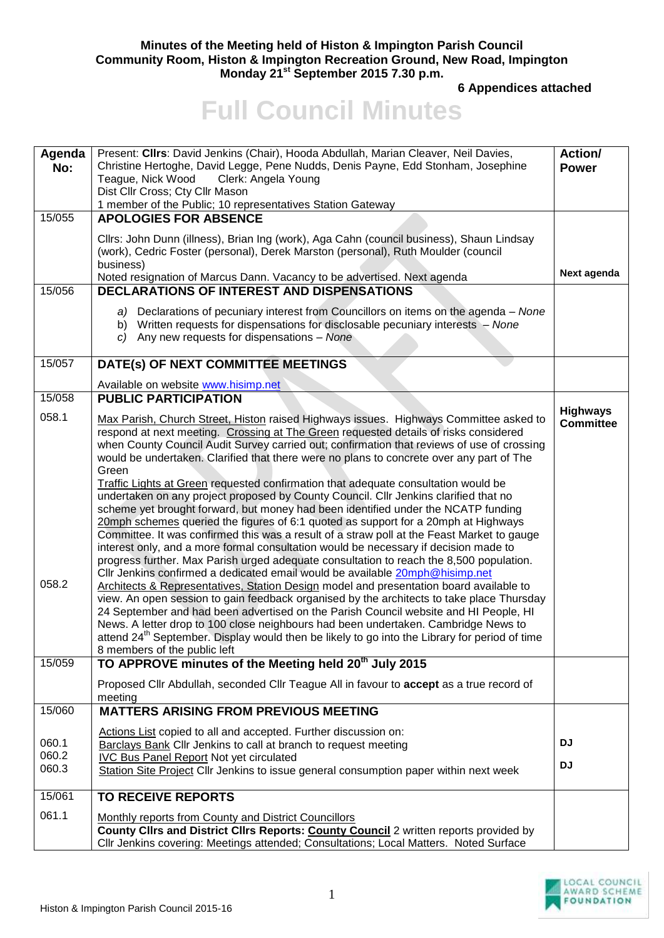## **Minutes of the Meeting held of Histon & Impington Parish Council Community Room, Histon & Impington Recreation Ground, New Road, Impington Monday 21st September 2015 7.30 p.m.**

**6 Appendices attached** 

## **Full Council Minutes**

| Agenda<br>No:  | Present: Cllrs: David Jenkins (Chair), Hooda Abdullah, Marian Cleaver, Neil Davies,<br>Christine Hertoghe, David Legge, Pene Nudds, Denis Payne, Edd Stonham, Josephine<br>Teague, Nick Wood<br>Clerk: Angela Young<br>Dist Cllr Cross; Cty Cllr Mason<br>1 member of the Public; 10 representatives Station Gateway                                                                                                                                                                                                                                                                                                                                                                                                                                                                                                                                                                                                                                                                                                                                                                                                                                                                                                                                                                                                                                                                                                                                                                                                                                                                                                                | <b>Action/</b><br><b>Power</b> |
|----------------|-------------------------------------------------------------------------------------------------------------------------------------------------------------------------------------------------------------------------------------------------------------------------------------------------------------------------------------------------------------------------------------------------------------------------------------------------------------------------------------------------------------------------------------------------------------------------------------------------------------------------------------------------------------------------------------------------------------------------------------------------------------------------------------------------------------------------------------------------------------------------------------------------------------------------------------------------------------------------------------------------------------------------------------------------------------------------------------------------------------------------------------------------------------------------------------------------------------------------------------------------------------------------------------------------------------------------------------------------------------------------------------------------------------------------------------------------------------------------------------------------------------------------------------------------------------------------------------------------------------------------------------|--------------------------------|
| 15/055         | <b>APOLOGIES FOR ABSENCE</b><br>Cllrs: John Dunn (illness), Brian Ing (work), Aga Cahn (council business), Shaun Lindsay<br>(work), Cedric Foster (personal), Derek Marston (personal), Ruth Moulder (council                                                                                                                                                                                                                                                                                                                                                                                                                                                                                                                                                                                                                                                                                                                                                                                                                                                                                                                                                                                                                                                                                                                                                                                                                                                                                                                                                                                                                       |                                |
|                | business)<br>Noted resignation of Marcus Dann. Vacancy to be advertised. Next agenda                                                                                                                                                                                                                                                                                                                                                                                                                                                                                                                                                                                                                                                                                                                                                                                                                                                                                                                                                                                                                                                                                                                                                                                                                                                                                                                                                                                                                                                                                                                                                | Next agenda                    |
| 15/056         | <b>DECLARATIONS OF INTEREST AND DISPENSATIONS</b>                                                                                                                                                                                                                                                                                                                                                                                                                                                                                                                                                                                                                                                                                                                                                                                                                                                                                                                                                                                                                                                                                                                                                                                                                                                                                                                                                                                                                                                                                                                                                                                   |                                |
|                | a) Declarations of pecuniary interest from Councillors on items on the agenda – None<br>b) Written requests for dispensations for disclosable pecuniary interests - None<br>$c)$ Any new requests for dispensations - None                                                                                                                                                                                                                                                                                                                                                                                                                                                                                                                                                                                                                                                                                                                                                                                                                                                                                                                                                                                                                                                                                                                                                                                                                                                                                                                                                                                                          |                                |
| 15/057         | DATE(s) OF NEXT COMMITTEE MEETINGS                                                                                                                                                                                                                                                                                                                                                                                                                                                                                                                                                                                                                                                                                                                                                                                                                                                                                                                                                                                                                                                                                                                                                                                                                                                                                                                                                                                                                                                                                                                                                                                                  |                                |
|                | Available on website www.hisimp.net                                                                                                                                                                                                                                                                                                                                                                                                                                                                                                                                                                                                                                                                                                                                                                                                                                                                                                                                                                                                                                                                                                                                                                                                                                                                                                                                                                                                                                                                                                                                                                                                 |                                |
| 15/058         | <b>PUBLIC PARTICIPATION</b>                                                                                                                                                                                                                                                                                                                                                                                                                                                                                                                                                                                                                                                                                                                                                                                                                                                                                                                                                                                                                                                                                                                                                                                                                                                                                                                                                                                                                                                                                                                                                                                                         | <b>Highways</b>                |
| 058.1<br>058.2 | Max Parish, Church Street, Histon raised Highways issues. Highways Committee asked to<br>respond at next meeting. Crossing at The Green requested details of risks considered<br>when County Council Audit Survey carried out; confirmation that reviews of use of crossing<br>would be undertaken. Clarified that there were no plans to concrete over any part of The<br>Green<br><b>Traffic Lights at Green requested confirmation that adequate consultation would be</b><br>undertaken on any project proposed by County Council. Cllr Jenkins clarified that no<br>scheme yet brought forward, but money had been identified under the NCATP funding<br>20mph schemes queried the figures of 6:1 quoted as support for a 20mph at Highways<br>Committee. It was confirmed this was a result of a straw poll at the Feast Market to gauge<br>interest only, and a more formal consultation would be necessary if decision made to<br>progress further. Max Parish urged adequate consultation to reach the 8,500 population.<br>Cllr Jenkins confirmed a dedicated email would be available 20mph@hisimp.net<br>Architects & Representatives, Station Design model and presentation board available to<br>view. An open session to gain feedback organised by the architects to take place Thursday<br>24 September and had been advertised on the Parish Council website and HI People, HI<br>News. A letter drop to 100 close neighbours had been undertaken. Cambridge News to<br>attend 24 <sup>th</sup> September. Display would then be likely to go into the Library for period of time<br>8 members of the public left | <b>Committee</b>               |
| 15/059         | TO APPROVE minutes of the Meeting held 20 <sup>th</sup> July 2015                                                                                                                                                                                                                                                                                                                                                                                                                                                                                                                                                                                                                                                                                                                                                                                                                                                                                                                                                                                                                                                                                                                                                                                                                                                                                                                                                                                                                                                                                                                                                                   |                                |
|                | Proposed Cllr Abdullah, seconded Cllr Teague All in favour to accept as a true record of<br>meeting                                                                                                                                                                                                                                                                                                                                                                                                                                                                                                                                                                                                                                                                                                                                                                                                                                                                                                                                                                                                                                                                                                                                                                                                                                                                                                                                                                                                                                                                                                                                 |                                |
| 15/060         | <b>MATTERS ARISING FROM PREVIOUS MEETING</b>                                                                                                                                                                                                                                                                                                                                                                                                                                                                                                                                                                                                                                                                                                                                                                                                                                                                                                                                                                                                                                                                                                                                                                                                                                                                                                                                                                                                                                                                                                                                                                                        |                                |
| 060.1          | Actions List copied to all and accepted. Further discussion on:<br><b>Barclays Bank Cllr Jenkins to call at branch to request meeting</b>                                                                                                                                                                                                                                                                                                                                                                                                                                                                                                                                                                                                                                                                                                                                                                                                                                                                                                                                                                                                                                                                                                                                                                                                                                                                                                                                                                                                                                                                                           | <b>DJ</b>                      |
| 060.2<br>060.3 | <b>IVC Bus Panel Report Not yet circulated</b><br>Station Site Project Cllr Jenkins to issue general consumption paper within next week                                                                                                                                                                                                                                                                                                                                                                                                                                                                                                                                                                                                                                                                                                                                                                                                                                                                                                                                                                                                                                                                                                                                                                                                                                                                                                                                                                                                                                                                                             | <b>DJ</b>                      |
| 15/061         | <b>TO RECEIVE REPORTS</b>                                                                                                                                                                                                                                                                                                                                                                                                                                                                                                                                                                                                                                                                                                                                                                                                                                                                                                                                                                                                                                                                                                                                                                                                                                                                                                                                                                                                                                                                                                                                                                                                           |                                |
| 061.1          | Monthly reports from County and District Councillors<br>County Clirs and District Clirs Reports: <b>County Council</b> 2 written reports provided by<br>Cllr Jenkins covering: Meetings attended; Consultations; Local Matters. Noted Surface                                                                                                                                                                                                                                                                                                                                                                                                                                                                                                                                                                                                                                                                                                                                                                                                                                                                                                                                                                                                                                                                                                                                                                                                                                                                                                                                                                                       |                                |

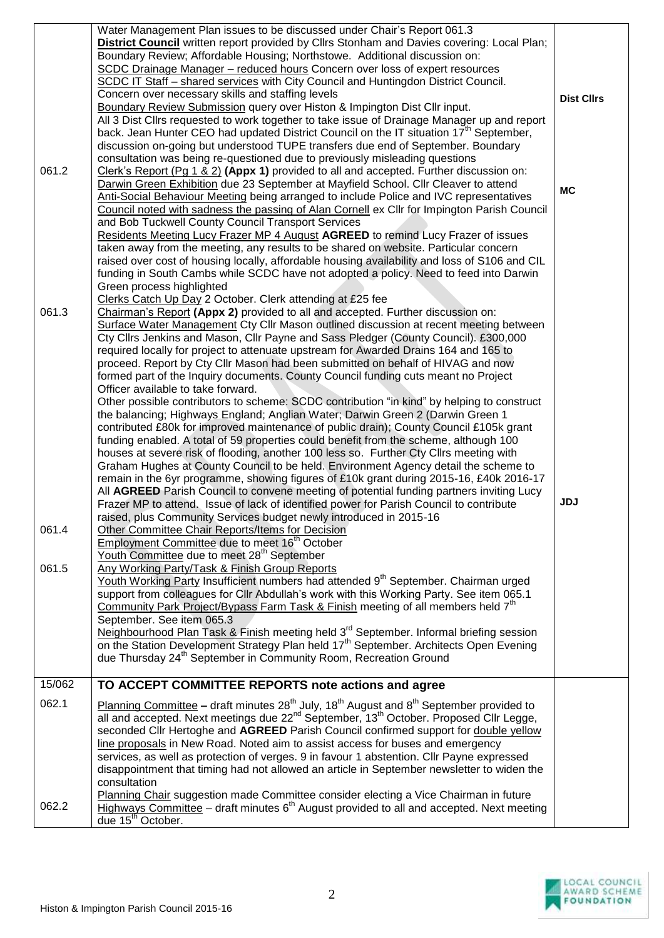| 061.2                   | Water Management Plan issues to be discussed under Chair's Report 061.3<br>District Council written report provided by Cllrs Stonham and Davies covering: Local Plan;<br>Boundary Review; Affordable Housing; Northstowe. Additional discussion on:<br>SCDC Drainage Manager - reduced hours Concern over loss of expert resources<br>SCDC IT Staff - shared services with City Council and Huntingdon District Council.<br>Concern over necessary skills and staffing levels<br>Boundary Review Submission query over Histon & Impington Dist Cllr input.<br>All 3 Dist Cllrs requested to work together to take issue of Drainage Manager up and report<br>back. Jean Hunter CEO had updated District Council on the IT situation 17 <sup>th</sup> September,<br>discussion on-going but understood TUPE transfers due end of September. Boundary<br>consultation was being re-questioned due to previously misleading questions<br>Clerk's Report (Pg 1 & 2) (Appx 1) provided to all and accepted. Further discussion on:<br>Darwin Green Exhibition due 23 September at Mayfield School. Cllr Cleaver to attend<br>Anti-Social Behaviour Meeting being arranged to include Police and IVC representatives<br>Council noted with sadness the passing of Alan Cornell ex Cllr for Impington Parish Council<br>and Bob Tuckwell County Council Transport Services<br>Residents Meeting Lucy Frazer MP 4 August AGREED to remind Lucy Frazer of issues<br>taken away from the meeting, any results to be shared on website. Particular concern<br>raised over cost of housing locally, affordable housing availability and loss of S106 and CIL<br>funding in South Cambs while SCDC have not adopted a policy. Need to feed into Darwin<br>Green process highlighted                                                                                                                                                                                                                                                                                                                                                                                                                                                                                                                                                                                                                             | <b>Dist Cllrs</b><br><b>MC</b> |
|-------------------------|----------------------------------------------------------------------------------------------------------------------------------------------------------------------------------------------------------------------------------------------------------------------------------------------------------------------------------------------------------------------------------------------------------------------------------------------------------------------------------------------------------------------------------------------------------------------------------------------------------------------------------------------------------------------------------------------------------------------------------------------------------------------------------------------------------------------------------------------------------------------------------------------------------------------------------------------------------------------------------------------------------------------------------------------------------------------------------------------------------------------------------------------------------------------------------------------------------------------------------------------------------------------------------------------------------------------------------------------------------------------------------------------------------------------------------------------------------------------------------------------------------------------------------------------------------------------------------------------------------------------------------------------------------------------------------------------------------------------------------------------------------------------------------------------------------------------------------------------------------------------------------------------------------------------------------------------------------------------------------------------------------------------------------------------------------------------------------------------------------------------------------------------------------------------------------------------------------------------------------------------------------------------------------------------------------------------------------------------------------------------------------------------------|--------------------------------|
| 061.3<br>061.4<br>061.5 | Clerks Catch Up Day 2 October. Clerk attending at £25 fee<br>Chairman's Report (Appx 2) provided to all and accepted. Further discussion on:<br>Surface Water Management Cty Cllr Mason outlined discussion at recent meeting between<br>Cty Cllrs Jenkins and Mason, Cllr Payne and Sass Pledger (County Council). £300,000<br>required locally for project to attenuate upstream for Awarded Drains 164 and 165 to<br>proceed. Report by Cty Cllr Mason had been submitted on behalf of HIVAG and now<br>formed part of the Inquiry documents. County Council funding cuts meant no Project<br>Officer available to take forward.<br>Other possible contributors to scheme: SCDC contribution "in kind" by helping to construct<br>the balancing; Highways England; Anglian Water; Darwin Green 2 (Darwin Green 1<br>contributed £80k for improved maintenance of public drain); County Council £105k grant<br>funding enabled. A total of 59 properties could benefit from the scheme, although 100<br>houses at severe risk of flooding, another 100 less so. Further Cty Cllrs meeting with<br>Graham Hughes at County Council to be held. Environment Agency detail the scheme to<br>remain in the 6yr programme, showing figures of £10k grant during 2015-16, £40k 2016-17<br>All AGREED Parish Council to convene meeting of potential funding partners inviting Lucy<br>Frazer MP to attend. Issue of lack of identified power for Parish Council to contribute<br>raised, plus Community Services budget newly introduced in 2015-16<br>Other Committee Chair Reports/Items for Decision<br>Employment Committee due to meet 16 <sup>th</sup> October<br>Youth Committee due to meet 28 <sup>th</sup> September<br>Any Working Party/Task & Finish Group Reports<br>Youth Working Party Insufficient numbers had attended 9 <sup>th</sup> September. Chairman urged<br>support from colleagues for Cllr Abdullah's work with this Working Party. See item 065.1<br>Community Park Project/Bypass Farm Task & Finish meeting of all members held 7 <sup>th</sup><br>September. See item 065.3<br>Neighbourhood Plan Task & Finish meeting held 3 <sup>rd</sup> September. Informal briefing session<br>on the Station Development Strategy Plan held 17 <sup>th</sup> September. Architects Open Evening<br>due Thursday 24 <sup>th</sup> September in Community Room, Recreation Ground | <b>JDJ</b>                     |
| 15/062                  | TO ACCEPT COMMITTEE REPORTS note actions and agree                                                                                                                                                                                                                                                                                                                                                                                                                                                                                                                                                                                                                                                                                                                                                                                                                                                                                                                                                                                                                                                                                                                                                                                                                                                                                                                                                                                                                                                                                                                                                                                                                                                                                                                                                                                                                                                                                                                                                                                                                                                                                                                                                                                                                                                                                                                                                 |                                |
| 062.1<br>062.2          | Planning Committee – draft minutes $28^{th}$ July, 18 <sup>th</sup> August and $8^{th}$ September provided to<br>all and accepted. Next meetings due 22 <sup>nd</sup> September, 13 <sup>th</sup> October. Proposed Cllr Legge,<br>seconded Cllr Hertoghe and AGREED Parish Council confirmed support for double yellow<br>line proposals in New Road. Noted aim to assist access for buses and emergency<br>services, as well as protection of verges. 9 in favour 1 abstention. Cllr Payne expressed<br>disappointment that timing had not allowed an article in September newsletter to widen the<br>consultation<br>Planning Chair suggestion made Committee consider electing a Vice Chairman in future<br>Highways Committee – draft minutes $6th$ August provided to all and accepted. Next meeting                                                                                                                                                                                                                                                                                                                                                                                                                                                                                                                                                                                                                                                                                                                                                                                                                                                                                                                                                                                                                                                                                                                                                                                                                                                                                                                                                                                                                                                                                                                                                                                         |                                |
|                         | due 15 <sup>th</sup> October.                                                                                                                                                                                                                                                                                                                                                                                                                                                                                                                                                                                                                                                                                                                                                                                                                                                                                                                                                                                                                                                                                                                                                                                                                                                                                                                                                                                                                                                                                                                                                                                                                                                                                                                                                                                                                                                                                                                                                                                                                                                                                                                                                                                                                                                                                                                                                                      |                                |

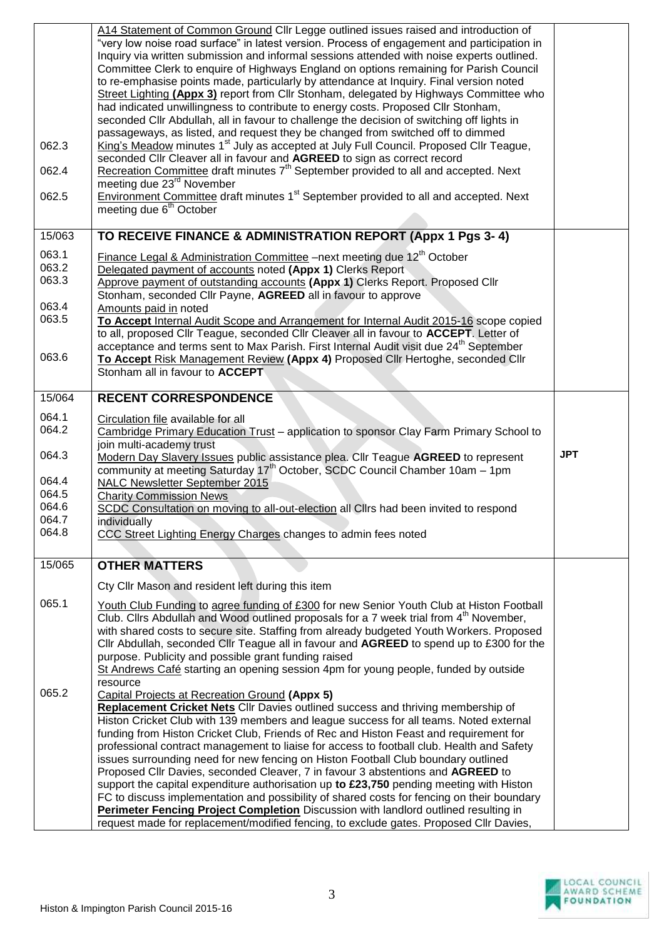|                         | A14 Statement of Common Ground Cllr Legge outlined issues raised and introduction of<br>"very low noise road surface" in latest version. Process of engagement and participation in<br>Inquiry via written submission and informal sessions attended with noise experts outlined.<br>Committee Clerk to enquire of Highways England on options remaining for Parish Council<br>to re-emphasise points made, particularly by attendance at Inquiry. Final version noted<br>Street Lighting (Appx 3) report from Cllr Stonham, delegated by Highways Committee who<br>had indicated unwillingness to contribute to energy costs. Proposed Cllr Stonham,<br>seconded Cllr Abdullah, all in favour to challenge the decision of switching off lights in<br>passageways, as listed, and request they be changed from switched off to dimmed                                                       |            |
|-------------------------|----------------------------------------------------------------------------------------------------------------------------------------------------------------------------------------------------------------------------------------------------------------------------------------------------------------------------------------------------------------------------------------------------------------------------------------------------------------------------------------------------------------------------------------------------------------------------------------------------------------------------------------------------------------------------------------------------------------------------------------------------------------------------------------------------------------------------------------------------------------------------------------------|------------|
| 062.3                   | King's Meadow minutes 1 <sup>st</sup> July as accepted at July Full Council. Proposed Cllr Teague,<br>seconded Cllr Cleaver all in favour and AGREED to sign as correct record<br>Recreation Committee draft minutes $7th$ September provided to all and accepted. Next                                                                                                                                                                                                                                                                                                                                                                                                                                                                                                                                                                                                                      |            |
| 062.4<br>062.5          | meeting due 23 <sup>rd</sup> November<br><b>Environment Committee draft minutes 1<sup>st</sup> September provided to all and accepted. Next</b>                                                                                                                                                                                                                                                                                                                                                                                                                                                                                                                                                                                                                                                                                                                                              |            |
|                         | meeting due 6 <sup>th</sup> October                                                                                                                                                                                                                                                                                                                                                                                                                                                                                                                                                                                                                                                                                                                                                                                                                                                          |            |
| 15/063                  | TO RECEIVE FINANCE & ADMINISTRATION REPORT (Appx 1 Pgs 3-4)                                                                                                                                                                                                                                                                                                                                                                                                                                                                                                                                                                                                                                                                                                                                                                                                                                  |            |
| 063.1<br>063.2<br>063.3 | Finance Legal & Administration Committee -next meeting due 12 <sup>th</sup> October<br>Delegated payment of accounts noted (Appx 1) Clerks Report<br>Approve payment of outstanding accounts (Appx 1) Clerks Report. Proposed Cllr<br>Stonham, seconded Cllr Payne, AGREED all in favour to approve                                                                                                                                                                                                                                                                                                                                                                                                                                                                                                                                                                                          |            |
| 063.4<br>063.5          | Amounts paid in noted<br>To Accept Internal Audit Scope and Arrangement for Internal Audit 2015-16 scope copied<br>to all, proposed Cllr Teague, seconded Cllr Cleaver all in favour to ACCEPT. Letter of<br>acceptance and terms sent to Max Parish. First Internal Audit visit due 24 <sup>th</sup> September                                                                                                                                                                                                                                                                                                                                                                                                                                                                                                                                                                              |            |
| 063.6                   | To Accept Risk Management Review (Appx 4) Proposed Cllr Hertoghe, seconded Cllr<br>Stonham all in favour to ACCEPT                                                                                                                                                                                                                                                                                                                                                                                                                                                                                                                                                                                                                                                                                                                                                                           |            |
| 15/064                  | <b>RECENT CORRESPONDENCE</b>                                                                                                                                                                                                                                                                                                                                                                                                                                                                                                                                                                                                                                                                                                                                                                                                                                                                 |            |
| 064.1<br>064.2          | Circulation file available for all<br>Cambridge Primary Education Trust - application to sponsor Clay Farm Primary School to<br>join multi-academy trust                                                                                                                                                                                                                                                                                                                                                                                                                                                                                                                                                                                                                                                                                                                                     |            |
| 064.3                   | Modern Day Slavery Issues public assistance plea. Cllr Teague AGREED to represent<br>community at meeting Saturday 17 <sup>th</sup> October, SCDC Council Chamber 10am - 1pm                                                                                                                                                                                                                                                                                                                                                                                                                                                                                                                                                                                                                                                                                                                 | <b>JPT</b> |
| 064.4<br>064.5          | NALC Newsletter September 2015                                                                                                                                                                                                                                                                                                                                                                                                                                                                                                                                                                                                                                                                                                                                                                                                                                                               |            |
| 064.6                   | <b>Charity Commission News</b><br>SCDC Consultation on moving to all-out-election all ClIrs had been invited to respond                                                                                                                                                                                                                                                                                                                                                                                                                                                                                                                                                                                                                                                                                                                                                                      |            |
| 064.7                   | individually                                                                                                                                                                                                                                                                                                                                                                                                                                                                                                                                                                                                                                                                                                                                                                                                                                                                                 |            |
| 064.8                   | CCC Street Lighting Energy Charges changes to admin fees noted                                                                                                                                                                                                                                                                                                                                                                                                                                                                                                                                                                                                                                                                                                                                                                                                                               |            |
| 15/065                  | <b>OTHER MATTERS</b>                                                                                                                                                                                                                                                                                                                                                                                                                                                                                                                                                                                                                                                                                                                                                                                                                                                                         |            |
|                         | Cty Cllr Mason and resident left during this item                                                                                                                                                                                                                                                                                                                                                                                                                                                                                                                                                                                                                                                                                                                                                                                                                                            |            |
| 065.1                   | Youth Club Funding to agree funding of £300 for new Senior Youth Club at Histon Football<br>Club. Clirs Abdullah and Wood outlined proposals for a 7 week trial from 4 <sup>th</sup> November,<br>with shared costs to secure site. Staffing from already budgeted Youth Workers. Proposed<br>Cllr Abdullah, seconded Cllr Teague all in favour and AGREED to spend up to £300 for the<br>purpose. Publicity and possible grant funding raised<br>St Andrews Café starting an opening session 4pm for young people, funded by outside                                                                                                                                                                                                                                                                                                                                                        |            |
| 065.2                   | resource<br><b>Capital Projects at Recreation Ground (Appx 5)</b><br>Replacement Cricket Nets Cllr Davies outlined success and thriving membership of<br>Histon Cricket Club with 139 members and league success for all teams. Noted external<br>funding from Histon Cricket Club, Friends of Rec and Histon Feast and requirement for<br>professional contract management to liaise for access to football club. Health and Safety<br>issues surrounding need for new fencing on Histon Football Club boundary outlined<br>Proposed Cllr Davies, seconded Cleaver, 7 in favour 3 abstentions and AGREED to<br>support the capital expenditure authorisation up to £23,750 pending meeting with Histon<br>FC to discuss implementation and possibility of shared costs for fencing on their boundary<br>Perimeter Fencing Project Completion Discussion with landlord outlined resulting in |            |
|                         |                                                                                                                                                                                                                                                                                                                                                                                                                                                                                                                                                                                                                                                                                                                                                                                                                                                                                              |            |